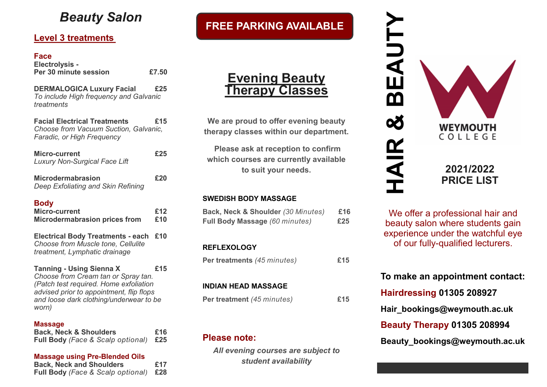# *Beauty Salon*

# **Level 3 treatments**

### **Face**

| ı av <del>c</del><br><b>Electrolysis -</b><br>Per 30 minute session                                                                                                                                              | £7.50      |
|------------------------------------------------------------------------------------------------------------------------------------------------------------------------------------------------------------------|------------|
| <b>DERMALOGICA Luxury Facial</b><br>To include High frequency and Galvanic<br>treatments                                                                                                                         | £25        |
| <b>Facial Electrical Treatments</b><br>Choose from Vacuum Suction, Galvanic,<br>Faradic, or High Frequency                                                                                                       | £15        |
| <b>Micro-current</b><br><b>Luxury Non-Surgical Face Lift</b>                                                                                                                                                     | £25        |
| <b>Microdermabrasion</b><br>Deep Exfoliating and Skin Refining                                                                                                                                                   | £20        |
| <b>Body</b><br>Micro-current<br><b>Microdermabrasion prices from</b>                                                                                                                                             | £12<br>£10 |
| <b>Electrical Body Treatments - each</b><br>Choose from Muscle tone, Cellulite<br>treatment, Lymphatic drainage                                                                                                  | £10        |
| <b>Tanning - Using Sienna X</b><br>Choose from Cream tan or Spray tan.<br>(Patch test required. Home exfoliation<br>advised prior to appointment, flip flops<br>and loose dark clothing/underwear to be<br>worn) | £15        |
| <b>Massage</b><br><b>Back, Neck &amp; Shoulders</b><br>Full Body (Face & Scalp optional)                                                                                                                         | £16<br>£25 |
|                                                                                                                                                                                                                  |            |

**Massage using Pre-Blended Oils Back, Neck and Shoulders £17 Full Body** *(Face & Scalp optional)* **£28**

# **FREE PARKING AVAILABLE**



**We are proud to offer evening beauty therapy classes within our department.**

**Please ask at reception to confirm which courses are currently available to suit your needs.** 

### **SWEDISH BODY MASSAGE**

| Back, Neck & Shoulder (30 Minutes)<br>Full Body Massage (60 minutes) | £16<br>£25 |
|----------------------------------------------------------------------|------------|
| <b>REFLEXOLOGY</b>                                                   |            |
|                                                                      |            |
| Per treatments (45 minutes)                                          | £15        |
|                                                                      |            |
| INDIAN HEAD MASSAGE                                                  |            |
| Per treatment (45 minutes)                                           | £15        |
|                                                                      |            |

# **Please note:**

*All evening courses are subject to student availability*



We offer a professional hair and beauty salon where students gain experience under the watchful eye of our fully-qualified lecturers.

# **To make an appointment contact:**

**Hairdressing 01305 208927 Hair\_bookings@weymouth.ac.uk Beauty Therapy 01305 208994 Beauty\_bookings@weymouth.ac.uk**